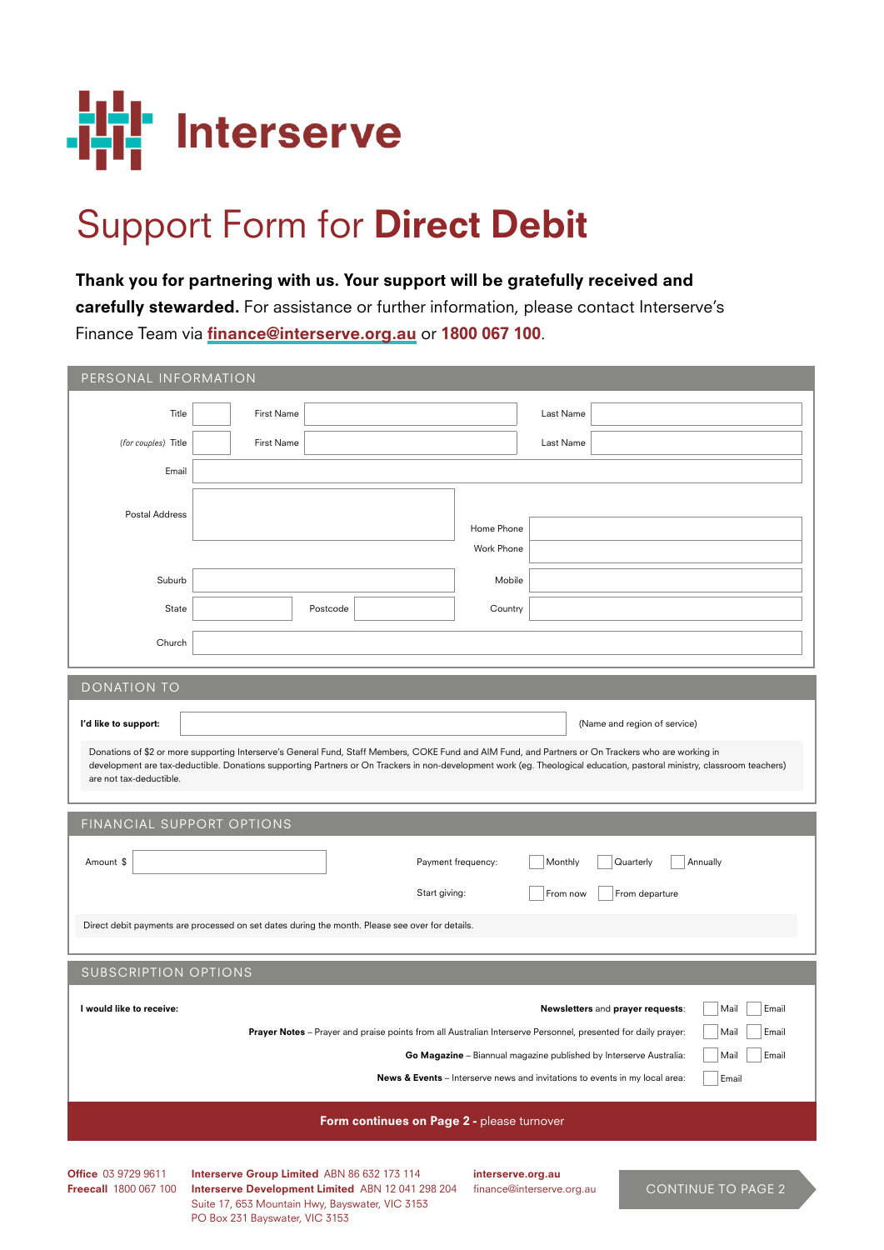

## Support Form for Direct Debit

Thank you for partnering with us. Your support will be gratefully received and carefully stewarded. For assistance or further information, please contact Interserve's Finance Team via finance@interserve.org.au or 1800 067 100.

| PERSONAL INFORMATION                                                                                                                                                                                                                                                                      |                                                                                                                                                                                                      |                    |            |           |                                  |                                |  |  |
|-------------------------------------------------------------------------------------------------------------------------------------------------------------------------------------------------------------------------------------------------------------------------------------------|------------------------------------------------------------------------------------------------------------------------------------------------------------------------------------------------------|--------------------|------------|-----------|----------------------------------|--------------------------------|--|--|
| Title                                                                                                                                                                                                                                                                                     | First Name                                                                                                                                                                                           |                    |            | Last Name |                                  |                                |  |  |
| (for couples) Title                                                                                                                                                                                                                                                                       | First Name                                                                                                                                                                                           |                    |            | Last Name |                                  |                                |  |  |
| Email                                                                                                                                                                                                                                                                                     |                                                                                                                                                                                                      |                    |            |           |                                  |                                |  |  |
|                                                                                                                                                                                                                                                                                           |                                                                                                                                                                                                      |                    |            |           |                                  |                                |  |  |
| Postal Address                                                                                                                                                                                                                                                                            |                                                                                                                                                                                                      |                    | Home Phone |           |                                  |                                |  |  |
|                                                                                                                                                                                                                                                                                           |                                                                                                                                                                                                      |                    | Work Phone |           |                                  |                                |  |  |
| Suburb                                                                                                                                                                                                                                                                                    |                                                                                                                                                                                                      |                    | Mobile     |           |                                  |                                |  |  |
| State                                                                                                                                                                                                                                                                                     |                                                                                                                                                                                                      | Postcode           | Country    |           |                                  |                                |  |  |
| Church                                                                                                                                                                                                                                                                                    |                                                                                                                                                                                                      |                    |            |           |                                  |                                |  |  |
|                                                                                                                                                                                                                                                                                           |                                                                                                                                                                                                      |                    |            |           |                                  |                                |  |  |
| <b>DONATION TO</b>                                                                                                                                                                                                                                                                        |                                                                                                                                                                                                      |                    |            |           |                                  |                                |  |  |
| I'd like to support:                                                                                                                                                                                                                                                                      |                                                                                                                                                                                                      |                    |            |           | (Name and region of service)     |                                |  |  |
| Donations of \$2 or more supporting Interserve's General Fund, Staff Members, COKE Fund and AIM Fund, and Partners or On Trackers who are working in                                                                                                                                      |                                                                                                                                                                                                      |                    |            |           |                                  |                                |  |  |
| development are tax-deductible. Donations supporting Partners or On Trackers in non-development work (eg. Theological education, pastoral ministry, classroom teachers)<br>are not tax-deductible.                                                                                        |                                                                                                                                                                                                      |                    |            |           |                                  |                                |  |  |
|                                                                                                                                                                                                                                                                                           |                                                                                                                                                                                                      |                    |            |           |                                  |                                |  |  |
| FINANCIAL SUPPORT OPTIONS                                                                                                                                                                                                                                                                 |                                                                                                                                                                                                      |                    |            |           |                                  |                                |  |  |
| Amount \$                                                                                                                                                                                                                                                                                 |                                                                                                                                                                                                      | Payment frequency: |            | Monthly   | Quarterly                        | Annually                       |  |  |
|                                                                                                                                                                                                                                                                                           |                                                                                                                                                                                                      | Start giving:      |            | From now  | From departure                   |                                |  |  |
|                                                                                                                                                                                                                                                                                           |                                                                                                                                                                                                      |                    |            |           |                                  |                                |  |  |
| Direct debit payments are processed on set dates during the month. Please see over for details.                                                                                                                                                                                           |                                                                                                                                                                                                      |                    |            |           |                                  |                                |  |  |
|                                                                                                                                                                                                                                                                                           | <b>SUBSCRIPTION OPTIONS</b>                                                                                                                                                                          |                    |            |           |                                  |                                |  |  |
|                                                                                                                                                                                                                                                                                           |                                                                                                                                                                                                      |                    |            |           |                                  |                                |  |  |
| I would like to receive:                                                                                                                                                                                                                                                                  |                                                                                                                                                                                                      |                    |            |           | Newsletters and prayer requests: | Mail<br>Email<br>Mail<br>Email |  |  |
|                                                                                                                                                                                                                                                                                           | Prayer Notes - Prayer and praise points from all Australian Interserve Personnel, presented for daily prayer:<br>Go Magazine - Biannual magazine published by Interserve Australia:<br>Mail<br>Email |                    |            |           |                                  |                                |  |  |
| News & Events - Interserve news and invitations to events in my local area:<br>Email                                                                                                                                                                                                      |                                                                                                                                                                                                      |                    |            |           |                                  |                                |  |  |
|                                                                                                                                                                                                                                                                                           |                                                                                                                                                                                                      |                    |            |           |                                  |                                |  |  |
| Form continues on Page 2 - please turnover                                                                                                                                                                                                                                                |                                                                                                                                                                                                      |                    |            |           |                                  |                                |  |  |
|                                                                                                                                                                                                                                                                                           |                                                                                                                                                                                                      |                    |            |           |                                  |                                |  |  |
| Office 03 9729 9611<br>Interserve Group Limited ABN 86 632 173 114<br>interserve.org.au<br><b>Freecall 1800 067 100</b><br>Interserve Development Limited ABN 12 041 298 204<br><b>CONTINUE TO PAGE 2</b><br>finance@interserve.org.au<br>Suite 17, 653 Mountain Hwy, Bayswater, VIC 3153 |                                                                                                                                                                                                      |                    |            |           |                                  |                                |  |  |

PO Box 231 Bayswater, VIC 3153